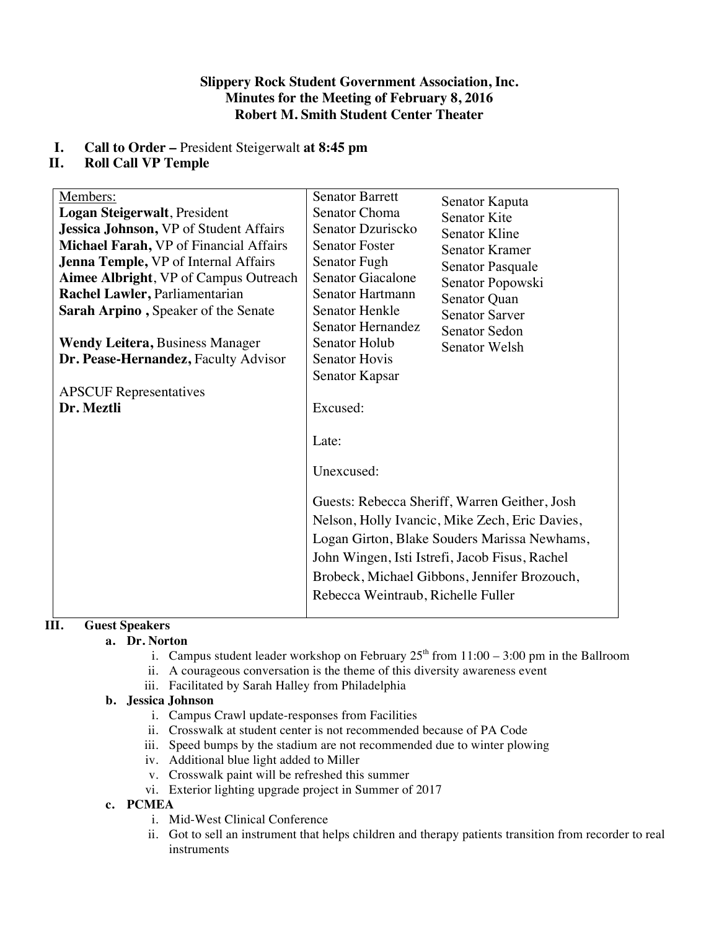## **Slippery Rock Student Government Association, Inc. Minutes for the Meeting of February 8, 2016 Robert M. Smith Student Center Theater**

# **I. Call to Order –** President Steigerwalt **at 8:45 pm**

# **II. Roll Call VP Temple**

| Members:                                      | <b>Senator Barrett</b>                         |                                               |
|-----------------------------------------------|------------------------------------------------|-----------------------------------------------|
| Logan Steigerwalt, President                  | Senator Choma                                  | Senator Kaputa                                |
| <b>Jessica Johnson, VP of Student Affairs</b> | Senator Dzuriscko                              | Senator Kite                                  |
| Michael Farah, VP of Financial Affairs        | <b>Senator Foster</b>                          | <b>Senator Kline</b><br><b>Senator Kramer</b> |
| <b>Jenna Temple, VP of Internal Affairs</b>   | Senator Fugh                                   |                                               |
| <b>Aimee Albright, VP of Campus Outreach</b>  | Senator Giacalone                              | <b>Senator Pasquale</b>                       |
| Rachel Lawler, Parliamentarian                | Senator Hartmann                               | Senator Popowski                              |
| Sarah Arpino, Speaker of the Senate           | Senator Henkle                                 | Senator Quan<br><b>Senator Sarver</b>         |
|                                               | Senator Hernandez                              | <b>Senator Sedon</b>                          |
| <b>Wendy Leitera, Business Manager</b>        | <b>Senator Holub</b>                           | Senator Welsh                                 |
| Dr. Pease-Hernandez, Faculty Advisor          | <b>Senator Hovis</b>                           |                                               |
|                                               | Senator Kapsar                                 |                                               |
| <b>APSCUF</b> Representatives                 |                                                |                                               |
| Dr. Meztli                                    | Excused:                                       |                                               |
|                                               |                                                |                                               |
|                                               | Late:                                          |                                               |
|                                               |                                                |                                               |
|                                               | Unexcused:                                     |                                               |
|                                               |                                                |                                               |
|                                               | Guests: Rebecca Sheriff, Warren Geither, Josh  |                                               |
|                                               | Nelson, Holly Ivancic, Mike Zech, Eric Davies, |                                               |
|                                               | Logan Girton, Blake Souders Marissa Newhams,   |                                               |
|                                               | John Wingen, Isti Istrefi, Jacob Fisus, Rachel |                                               |
|                                               | Brobeck, Michael Gibbons, Jennifer Brozouch,   |                                               |
|                                               | Rebecca Weintraub, Richelle Fuller             |                                               |
|                                               |                                                |                                               |

# **III. Guest Speakers**

## **a. Dr. Norton**

- i. Campus student leader workshop on February  $25<sup>th</sup>$  from  $11:00 3:00$  pm in the Ballroom
- ii. A courageous conversation is the theme of this diversity awareness event
- iii. Facilitated by Sarah Halley from Philadelphia

## **b. Jessica Johnson**

- i. Campus Crawl update-responses from Facilities
- ii. Crosswalk at student center is not recommended because of PA Code
- iii. Speed bumps by the stadium are not recommended due to winter plowing
- iv. Additional blue light added to Miller
- v. Crosswalk paint will be refreshed this summer
- vi. Exterior lighting upgrade project in Summer of 2017

## **c. PCMEA**

- i. Mid-West Clinical Conference
- ii. Got to sell an instrument that helps children and therapy patients transition from recorder to real instruments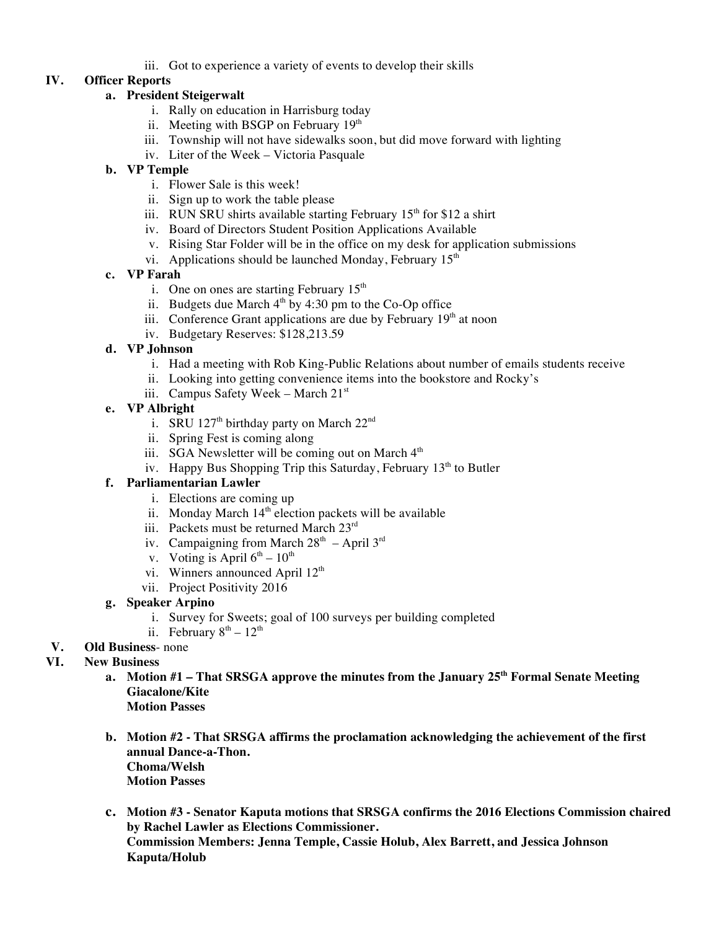iii. Got to experience a variety of events to develop their skills

# **IV. Officer Reports**

## **a. President Steigerwalt**

- i. Rally on education in Harrisburg today
- ii. Meeting with BSGP on February 19<sup>th</sup>
- iii. Township will not have sidewalks soon, but did move forward with lighting
- iv. Liter of the Week Victoria Pasquale

## **b. VP Temple**

- i. Flower Sale is this week!
- ii. Sign up to work the table please
- iii. RUN SRU shirts available starting February  $15<sup>th</sup>$  for \$12 a shirt
- iv. Board of Directors Student Position Applications Available
- v. Rising Star Folder will be in the office on my desk for application submissions
- vi. Applications should be launched Monday, February  $15<sup>th</sup>$

## **c. VP Farah**

- i. One on ones are starting February  $15<sup>th</sup>$
- ii. Budgets due March  $4<sup>th</sup>$  by 4:30 pm to the Co-Op office
- iii. Conference Grant applications are due by February  $19<sup>th</sup>$  at noon
- iv. Budgetary Reserves: \$128,213.59

#### **d. VP Johnson**

- i. Had a meeting with Rob King-Public Relations about number of emails students receive
- ii. Looking into getting convenience items into the bookstore and Rocky's
- iii. Campus Safety Week March 21<sup>st</sup>

#### **e. VP Albright**

- i. SRU 127<sup>th</sup> birthday party on March  $22<sup>nd</sup>$
- ii. Spring Fest is coming along
- iii. SGA Newsletter will be coming out on March  $4<sup>th</sup>$
- iv. Happy Bus Shopping Trip this Saturday, February  $13<sup>th</sup>$  to Butler

#### **f. Parliamentarian Lawler**

- i. Elections are coming up
- ii. Monday March  $14<sup>th</sup>$  election packets will be available
- iii. Packets must be returned March 23rd
- iv. Campaigning from March  $28<sup>th</sup>$  April  $3<sup>rd</sup>$
- v. Voting is April  $6^{th}$   $10^{th}$
- vi. Winners announced April 12<sup>th</sup>
- vii. Project Positivity 2016

## **g. Speaker Arpino**

- i. Survey for Sweets; goal of 100 surveys per building completed
- ii. February  $8<sup>th</sup> 12<sup>th</sup>$

## **V. Old Business**- none

## **VI. New Business**

- **a. Motion #1 – That SRSGA approve the minutes from the January 25th Formal Senate Meeting Giacalone/Kite**
	- **Motion Passes**
- **b. Motion #2 - That SRSGA affirms the proclamation acknowledging the achievement of the first annual Dance-a-Thon. Choma/Welsh Motion Passes**
- **c. Motion #3 - Senator Kaputa motions that SRSGA confirms the 2016 Elections Commission chaired by Rachel Lawler as Elections Commissioner. Commission Members: Jenna Temple, Cassie Holub, Alex Barrett, and Jessica Johnson Kaputa/Holub**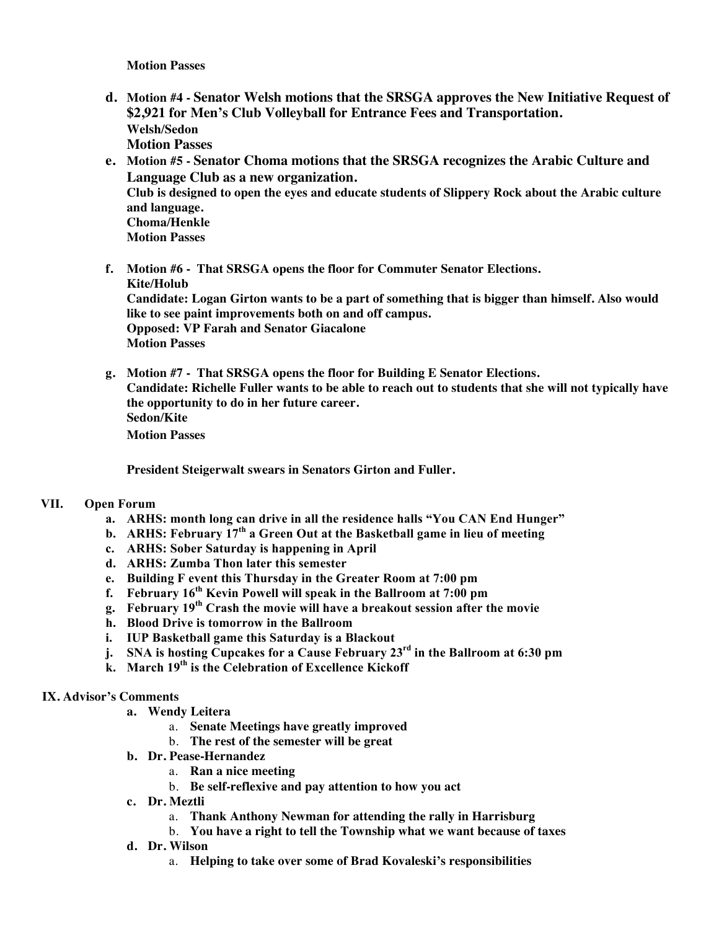**Motion Passes**

- **d. Motion #4 - Senator Welsh motions that the SRSGA approves the New Initiative Request of \$2,921 for Men's Club Volleyball for Entrance Fees and Transportation. Welsh/Sedon Motion Passes**
- **e. Motion #5 - Senator Choma motions that the SRSGA recognizes the Arabic Culture and Language Club as a new organization. Club is designed to open the eyes and educate students of Slippery Rock about the Arabic culture and language. Choma/Henkle Motion Passes**
- **f. Motion #6 That SRSGA opens the floor for Commuter Senator Elections. Kite/Holub Candidate: Logan Girton wants to be a part of something that is bigger than himself. Also would like to see paint improvements both on and off campus. Opposed: VP Farah and Senator Giacalone Motion Passes**
- **g. Motion #7 - That SRSGA opens the floor for Building E Senator Elections. Candidate: Richelle Fuller wants to be able to reach out to students that she will not typically have the opportunity to do in her future career. Sedon/Kite Motion Passes**

**President Steigerwalt swears in Senators Girton and Fuller.**

#### **VII. Open Forum**

- **a. ARHS: month long can drive in all the residence halls "You CAN End Hunger"**
- **b. ARHS: February 17th a Green Out at the Basketball game in lieu of meeting**
- **c. ARHS: Sober Saturday is happening in April**
- **d. ARHS: Zumba Thon later this semester**
- **e. Building F event this Thursday in the Greater Room at 7:00 pm**
- **f. February 16th Kevin Powell will speak in the Ballroom at 7:00 pm**
- **g. February 19th Crash the movie will have a breakout session after the movie**
- **h. Blood Drive is tomorrow in the Ballroom**
- **i. IUP Basketball game this Saturday is a Blackout**
- **j. SNA is hosting Cupcakes for a Cause February 23rd in the Ballroom at 6:30 pm**
- **k. March 19th is the Celebration of Excellence Kickoff**

#### **IX. Advisor's Comments**

- **a. Wendy Leitera**
	- a. **Senate Meetings have greatly improved**
	- b. **The rest of the semester will be great**
- **b. Dr. Pease-Hernandez**
	- a. **Ran a nice meeting**
	- b. **Be self-reflexive and pay attention to how you act**
- **c. Dr. Meztli**
	- a. **Thank Anthony Newman for attending the rally in Harrisburg**
	- b. **You have a right to tell the Township what we want because of taxes**
- **d. Dr. Wilson**
	- a. **Helping to take over some of Brad Kovaleski's responsibilities**